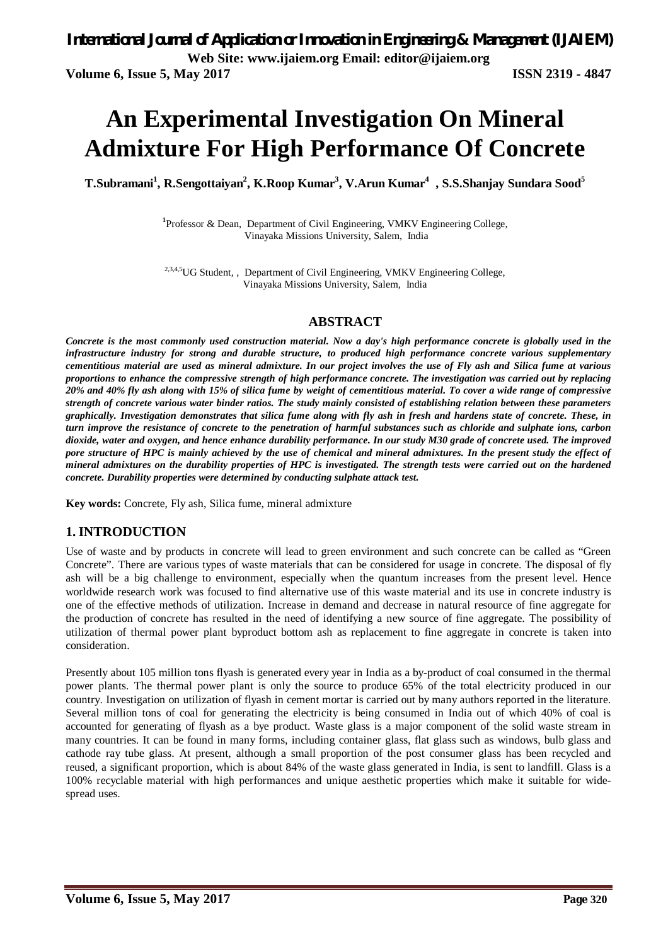# **An Experimental Investigation On Mineral Admixture For High Performance Of Concrete**

**T.Subramani<sup>1</sup> , R.Sengottaiyan<sup>2</sup> , K.Roop Kumar<sup>3</sup> , V.Arun Kumar<sup>4</sup> , S.S.Shanjay Sundara Sood<sup>5</sup>**

**1** Professor & Dean, Department of Civil Engineering, VMKV Engineering College, Vinayaka Missions University, Salem, India

2,3,4,5UG Student, , Department of Civil Engineering, VMKV Engineering College, Vinayaka Missions University, Salem, India

#### **ABSTRACT**

*Concrete is the most commonly used construction material. Now a day's high performance concrete is globally used in the infrastructure industry for strong and durable structure, to produced high performance concrete various supplementary cementitious material are used as mineral admixture. In our project involves the use of Fly ash and Silica fume at various proportions to enhance the compressive strength of high performance concrete. The investigation was carried out by replacing 20% and 40% fly ash along with 15% of silica fume by weight of cementitious material. To cover a wide range of compressive strength of concrete various water binder ratios. The study mainly consisted of establishing relation between these parameters graphically. Investigation demonstrates that silica fume along with fly ash in fresh and hardens state of concrete. These, in turn improve the resistance of concrete to the penetration of harmful substances such as chloride and sulphate ions, carbon dioxide, water and oxygen, and hence enhance durability performance. In our study M30 grade of concrete used. The improved pore structure of HPC is mainly achieved by the use of chemical and mineral admixtures. In the present study the effect of mineral admixtures on the durability properties of HPC is investigated. The strength tests were carried out on the hardened concrete. Durability properties were determined by conducting sulphate attack test.*

**Key words:** Concrete, Fly ash, Silica fume, mineral admixture

#### **1. INTRODUCTION**

Use of waste and by products in concrete will lead to green environment and such concrete can be called as "Green Concrete". There are various types of waste materials that can be considered for usage in concrete. The disposal of fly ash will be a big challenge to environment, especially when the quantum increases from the present level. Hence worldwide research work was focused to find alternative use of this waste material and its use in concrete industry is one of the effective methods of utilization. Increase in demand and decrease in natural resource of fine aggregate for the production of concrete has resulted in the need of identifying a new source of fine aggregate. The possibility of utilization of thermal power plant byproduct bottom ash as replacement to fine aggregate in concrete is taken into consideration.

Presently about 105 million tons flyash is generated every year in India as a by-product of coal consumed in the thermal power plants. The thermal power plant is only the source to produce 65% of the total electricity produced in our country. Investigation on utilization of flyash in cement mortar is carried out by many authors reported in the literature. Several million tons of coal for generating the electricity is being consumed in India out of which 40% of coal is accounted for generating of flyash as a bye product. Waste glass is a major component of the solid waste stream in many countries. It can be found in many forms, including container glass, flat glass such as windows, bulb glass and cathode ray tube glass. At present, although a small proportion of the post consumer glass has been recycled and reused, a significant proportion, which is about 84% of the waste glass generated in India, is sent to landfill. Glass is a 100% recyclable material with high performances and unique aesthetic properties which make it suitable for widespread uses.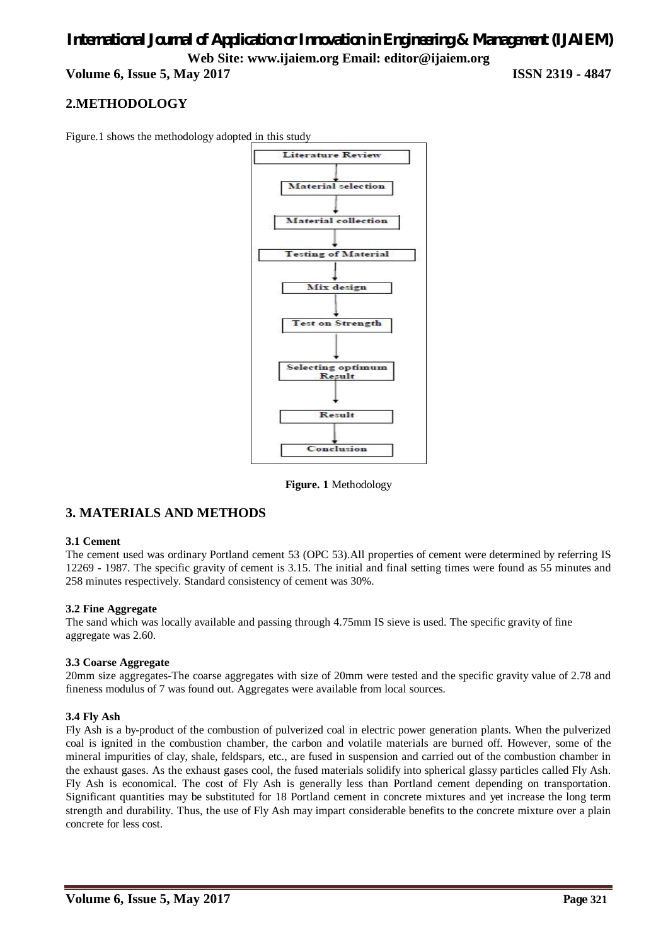# *International Journal of Application or Innovation in Engineering & Management (IJAIEM)* **Web Site: www.ijaiem.org Email: editor@ijaiem.org Volume 6, Issue 5, May 2017 ISSN 2319 - 4847**

## **2.METHODOLOGY**

Figure.1 shows the methodology adopted in this study



**Figure. 1** Methodology

#### **3. MATERIALS AND METHODS**

#### **3.1 Cement**

The cement used was ordinary Portland cement 53 (OPC 53).All properties of cement were determined by referring IS 12269 - 1987. The specific gravity of cement is 3.15. The initial and final setting times were found as 55 minutes and 258 minutes respectively. Standard consistency of cement was 30%.

#### **3.2 Fine Aggregate**

The sand which was locally available and passing through 4.75mm IS sieve is used. The specific gravity of fine aggregate was 2.60.

#### **3.3 Coarse Aggregate**

20mm size aggregates-The coarse aggregates with size of 20mm were tested and the specific gravity value of 2.78 and fineness modulus of 7 was found out. Aggregates were available from local sources.

#### **3.4 Fly Ash**

Fly Ash is a by-product of the combustion of pulverized coal in electric power generation plants. When the pulverized coal is ignited in the combustion chamber, the carbon and volatile materials are burned off. However, some of the mineral impurities of clay, shale, feldspars, etc., are fused in suspension and carried out of the combustion chamber in the exhaust gases. As the exhaust gases cool, the fused materials solidify into spherical glassy particles called Fly Ash. Fly Ash is economical. The cost of Fly Ash is generally less than Portland cement depending on transportation. Significant quantities may be substituted for 18 Portland cement in concrete mixtures and yet increase the long term strength and durability. Thus, the use of Fly Ash may impart considerable benefits to the concrete mixture over a plain concrete for less cost.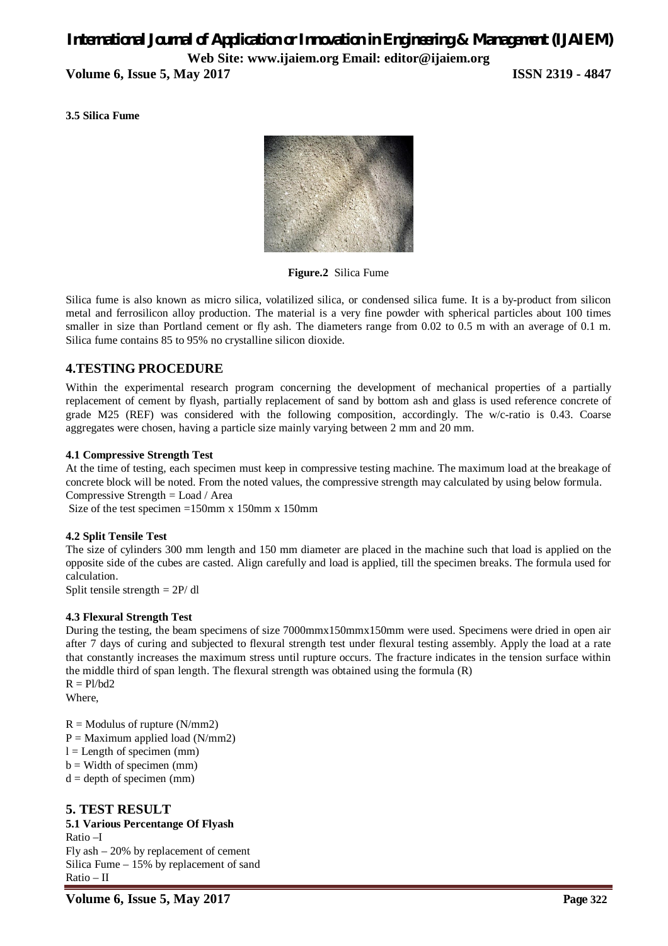# *International Journal of Application or Innovation in Engineering & Management (IJAIEM)* **Web Site: www.ijaiem.org Email: editor@ijaiem.org**

**Volume 6, Issue 5, May 2017 ISSN 2319 - 4847**

**3.5 Silica Fume**



**Figure.2** Silica Fume

Silica fume is also known as micro silica, volatilized silica, or condensed silica fume. It is a by-product from silicon metal and ferrosilicon alloy production. The material is a very fine powder with spherical particles about 100 times smaller in size than Portland cement or fly ash. The diameters range from 0.02 to 0.5 m with an average of 0.1 m. Silica fume contains 85 to 95% no crystalline silicon dioxide.

### **4.TESTING PROCEDURE**

Within the experimental research program concerning the development of mechanical properties of a partially replacement of cement by flyash, partially replacement of sand by bottom ash and glass is used reference concrete of grade M25 (REF) was considered with the following composition, accordingly. The w/c-ratio is 0.43. Coarse aggregates were chosen, having a particle size mainly varying between 2 mm and 20 mm.

#### **4.1 Compressive Strength Test**

At the time of testing, each specimen must keep in compressive testing machine. The maximum load at the breakage of concrete block will be noted. From the noted values, the compressive strength may calculated by using below formula. Compressive Strength = Load / Area

Size of the test specimen =150mm x 150mm x 150mm

#### **4.2 Split Tensile Test**

The size of cylinders 300 mm length and 150 mm diameter are placed in the machine such that load is applied on the opposite side of the cubes are casted. Align carefully and load is applied, till the specimen breaks. The formula used for calculation.

Split tensile strength = 2P/ dl

#### **4.3 Flexural Strength Test**

During the testing, the beam specimens of size 7000mmx150mmx150mm were used. Specimens were dried in open air after 7 days of curing and subjected to flexural strength test under flexural testing assembly. Apply the load at a rate that constantly increases the maximum stress until rupture occurs. The fracture indicates in the tension surface within the middle third of span length. The flexural strength was obtained using the formula (R)  $R = Pl/bd2$ 

Where,

 $R =$  Modulus of rupture (N/mm2)  $P =$  Maximum applied load (N/mm2)  $l =$  Length of specimen (mm)  $b =$  Width of specimen (mm)  $d =$  depth of specimen (mm)

#### **5. TEST RESULT**

**5.1 Various Percentange Of Flyash**  Ratio –I Fly ash – 20% by replacement of cement Silica Fume – 15% by replacement of sand Ratio – II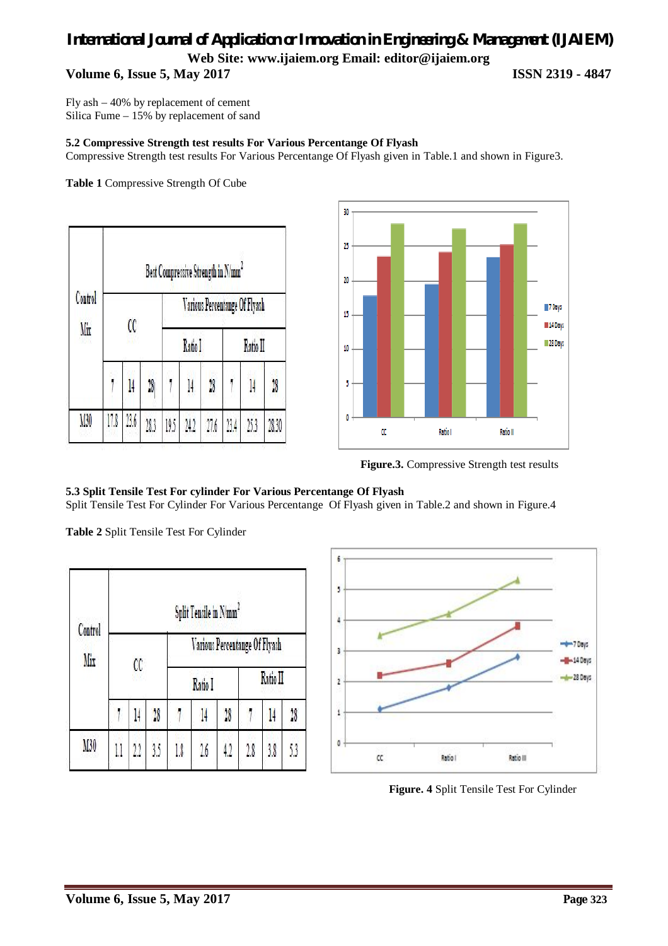# *International Journal of Application or Innovation in Engineering & Management (IJAIEM)* **Web Site: www.ijaiem.org Email: editor@ijaiem.org Volume 6, Issue 5, May 2017 ISSN 2319 - 4847**

Fly ash – 40% by replacement of cement Silica Fume – 15% by replacement of sand

#### **5.2 Compressive Strength test results For Various Percentange Of Flyash**

Compressive Strength test results For Various Percentange Of Flyash given in Table.1 and shown in Figure3.

**Table 1** Compressive Strength Of Cube

| Control<br>Mix | Best Compressive Strength in N/mm2 |      |      |                               |         |      |          |      |       |  |  |
|----------------|------------------------------------|------|------|-------------------------------|---------|------|----------|------|-------|--|--|
|                | Œ                                  |      |      | Various Percentange Of Flyash |         |      |          |      |       |  |  |
|                |                                    |      |      |                               | Ratio I |      | Ratio II |      |       |  |  |
|                |                                    | l4   | 18   |                               | 14      | 28   |          | 14   | 18    |  |  |
| M30            | 17.8                               | 23.6 | 28.3 | 19.5                          | 24.2    | 27.6 | 23.4     | 25.3 | 28.30 |  |  |



**Figure.3.** Compressive Strength test results

#### **5.3 Split Tensile Test For cylinder For Various Percentange Of Flyash**

Split Tensile Test For Cylinder For Various Percentange Of Flyash given in Table.2 and shown in Figure.4

**Table 2** Split Tensile Test For Cylinder

| Control<br>Mir | Split Tensile in N/mm <sup>2</sup> |     |                |                               |     |         |          |     |                |  |  |
|----------------|------------------------------------|-----|----------------|-------------------------------|-----|---------|----------|-----|----------------|--|--|
|                | $\alpha$                           |     |                | Various Percentange Of Flyash |     |         |          |     |                |  |  |
|                |                                    |     |                | Ratio I                       |     |         | Ratio II |     |                |  |  |
|                |                                    |     | $\frac{1}{28}$ |                               | 14  | $^{18}$ |          | 14  | $\frac{1}{28}$ |  |  |
| M30            |                                    | 2.2 | 3.5            | 1.8                           | 2.6 | 4.2     | 2.8      | 3.8 | 53             |  |  |



**Figure. 4** Split Tensile Test For Cylinder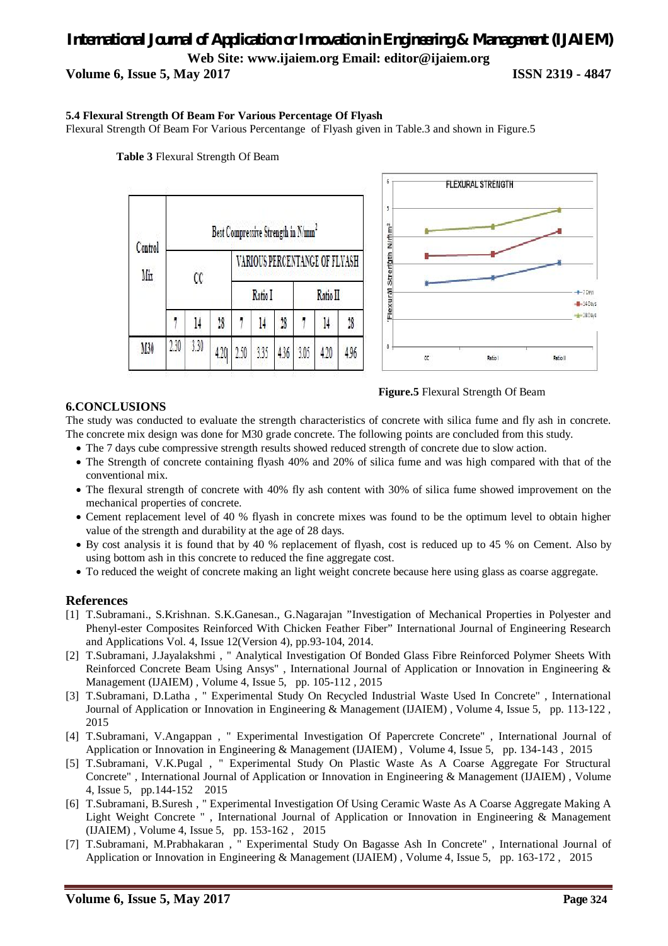# *International Journal of Application or Innovation in Engineering & Management (IJAIEM)* **Web Site: www.ijaiem.org Email: editor@ijaiem.org**

**Volume 6, Issue 5, May 2017 ISSN 2319 - 4847**

 $-7$  Days  $-140$ ays  $+280206$ 

Ratio II

#### **5.4 Flexural Strength Of Beam For Various Percentage Of Flyash**

Flexural Strength Of Beam For Various Percentange of Flyash given in Table.3 and shown in Figure.5



**Table 3** Flexural Strength Of Beam

#### **Figure.5** Flexural Strength Of Beam

#### **6.CONCLUSIONS**

The study was conducted to evaluate the strength characteristics of concrete with silica fume and fly ash in concrete. The concrete mix design was done for M30 grade concrete. The following points are concluded from this study.

- The 7 days cube compressive strength results showed reduced strength of concrete due to slow action.
- The Strength of concrete containing flyash 40% and 20% of silica fume and was high compared with that of the conventional mix.
- The flexural strength of concrete with 40% fly ash content with 30% of silica fume showed improvement on the mechanical properties of concrete.
- Cement replacement level of 40 % flyash in concrete mixes was found to be the optimum level to obtain higher value of the strength and durability at the age of 28 days.
- By cost analysis it is found that by 40 % replacement of flyash, cost is reduced up to 45 % on Cement. Also by using bottom ash in this concrete to reduced the fine aggregate cost.
- To reduced the weight of concrete making an light weight concrete because here using glass as coarse aggregate.

#### **References**

- [1] T.Subramani., S.Krishnan. S.K.Ganesan., G.Nagarajan "Investigation of Mechanical Properties in Polyester and Phenyl-ester Composites Reinforced With Chicken Feather Fiber" International Journal of Engineering Research and Applications Vol. 4, Issue 12(Version 4), pp.93-104, 2014.
- [2] T.Subramani, J.Jayalakshmi , " Analytical Investigation Of Bonded Glass Fibre Reinforced Polymer Sheets With Reinforced Concrete Beam Using Ansys" , International Journal of Application or Innovation in Engineering & Management (IJAIEM) , Volume 4, Issue 5, pp. 105-112 , 2015
- [3] T.Subramani, D.Latha , " Experimental Study On Recycled Industrial Waste Used In Concrete" , International Journal of Application or Innovation in Engineering & Management (IJAIEM) , Volume 4, Issue 5, pp. 113-122 , 2015
- [4] T.Subramani, V.Angappan , " Experimental Investigation Of Papercrete Concrete" , International Journal of Application or Innovation in Engineering & Management (IJAIEM) , Volume 4, Issue 5, pp. 134-143 , 2015
- [5] T.Subramani, V.K.Pugal , " Experimental Study On Plastic Waste As A Coarse Aggregate For Structural Concrete" , International Journal of Application or Innovation in Engineering & Management (IJAIEM) , Volume 4, Issue 5, pp.144-152 2015
- [6] T.Subramani, B.Suresh , " Experimental Investigation Of Using Ceramic Waste As A Coarse Aggregate Making A Light Weight Concrete " , International Journal of Application or Innovation in Engineering & Management (IJAIEM) , Volume 4, Issue 5, pp. 153-162 , 2015
- [7] T.Subramani, M.Prabhakaran , " Experimental Study On Bagasse Ash In Concrete" , International Journal of Application or Innovation in Engineering & Management (IJAIEM) , Volume 4, Issue 5, pp. 163-172 , 2015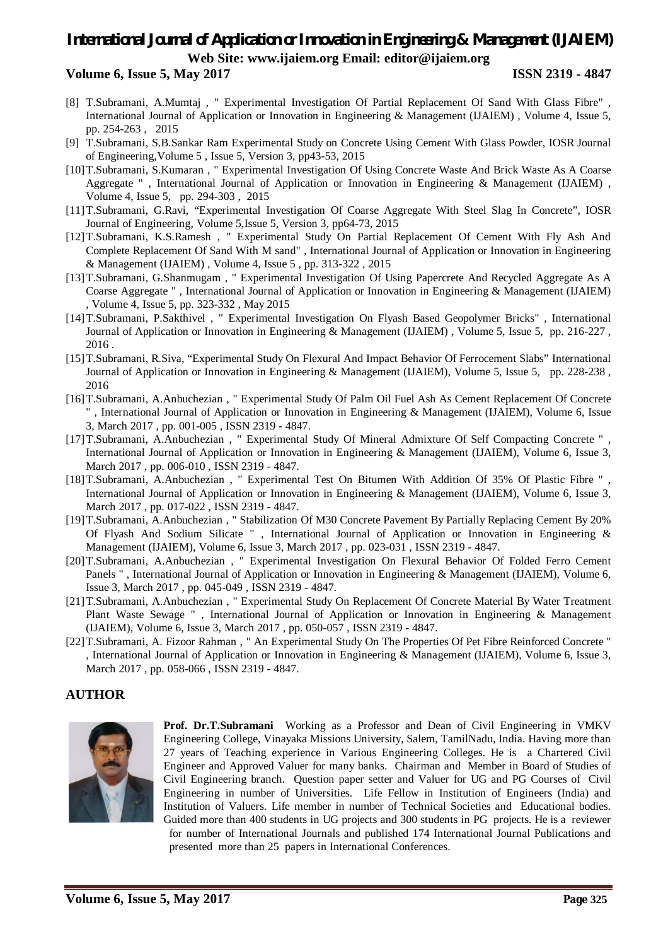# *International Journal of Application or Innovation in Engineering & Management (IJAIEM)* **Web Site: www.ijaiem.org Email: editor@ijaiem.org**

#### **Volume 6, Issue 5, May 2017 ISSN 2319 - 4847**

- [8] T.Subramani, A.Mumtaj , " Experimental Investigation Of Partial Replacement Of Sand With Glass Fibre" , International Journal of Application or Innovation in Engineering & Management (IJAIEM) , Volume 4, Issue 5, pp. 254-263 , 2015
- [9] T.Subramani, S.B.Sankar Ram Experimental Study on Concrete Using Cement With Glass Powder, IOSR Journal of Engineering,Volume 5 , Issue 5, Version 3, pp43-53, 2015
- [10]T.Subramani, S.Kumaran , " Experimental Investigation Of Using Concrete Waste And Brick Waste As A Coarse Aggregate ", International Journal of Application or Innovation in Engineering & Management (IJAIEM), Volume 4, Issue 5, pp. 294-303 , 2015
- [11]T.Subramani, G.Ravi, "Experimental Investigation Of Coarse Aggregate With Steel Slag In Concrete", IOSR Journal of Engineering, Volume 5,Issue 5, Version 3, pp64-73, 2015
- [12]T.Subramani, K.S.Ramesh , " Experimental Study On Partial Replacement Of Cement With Fly Ash And Complete Replacement Of Sand With M sand" , International Journal of Application or Innovation in Engineering & Management (IJAIEM) , Volume 4, Issue 5 , pp. 313-322 , 2015
- [13]T.Subramani, G.Shanmugam , " Experimental Investigation Of Using Papercrete And Recycled Aggregate As A Coarse Aggregate " , International Journal of Application or Innovation in Engineering & Management (IJAIEM) , Volume 4, Issue 5, pp. 323-332 , May 2015
- [14]T.Subramani, P.Sakthivel , " Experimental Investigation On Flyash Based Geopolymer Bricks" , International Journal of Application or Innovation in Engineering & Management (IJAIEM) , Volume 5, Issue 5, pp. 216-227 , 2016 .
- [15]T.Subramani, R.Siva, "Experimental Study On Flexural And Impact Behavior Of Ferrocement Slabs" International Journal of Application or Innovation in Engineering & Management (IJAIEM), Volume 5, Issue 5, pp. 228-238 , 2016
- [16]T.Subramani, A.Anbuchezian , " Experimental Study Of Palm Oil Fuel Ash As Cement Replacement Of Concrete " , International Journal of Application or Innovation in Engineering & Management (IJAIEM), Volume 6, Issue 3, March 2017 , pp. 001-005 , ISSN 2319 - 4847.
- [17]T.Subramani, A.Anbuchezian , " Experimental Study Of Mineral Admixture Of Self Compacting Concrete " , International Journal of Application or Innovation in Engineering & Management (IJAIEM), Volume 6, Issue 3, March 2017 , pp. 006-010 , ISSN 2319 - 4847.
- [18]T.Subramani, A.Anbuchezian , " Experimental Test On Bitumen With Addition Of 35% Of Plastic Fibre " , International Journal of Application or Innovation in Engineering & Management (IJAIEM), Volume 6, Issue 3, March 2017, pp. 017-022, ISSN 2319 - 4847.
- [19]T.Subramani, A.Anbuchezian , " Stabilization Of M30 Concrete Pavement By Partially Replacing Cement By 20% Of Flyash And Sodium Silicate " , International Journal of Application or Innovation in Engineering & Management (IJAIEM), Volume 6, Issue 3, March 2017 , pp. 023-031 , ISSN 2319 - 4847.
- [20]T.Subramani, A.Anbuchezian , " Experimental Investigation On Flexural Behavior Of Folded Ferro Cement Panels ", International Journal of Application or Innovation in Engineering & Management (IJAIEM), Volume 6, Issue 3, March 2017 , pp. 045-049 , ISSN 2319 - 4847.
- [21]T.Subramani, A.Anbuchezian , " Experimental Study On Replacement Of Concrete Material By Water Treatment Plant Waste Sewage " , International Journal of Application or Innovation in Engineering & Management (IJAIEM), Volume 6, Issue 3, March 2017 , pp. 050-057 , ISSN 2319 - 4847.
- [22]T.Subramani, A. Fizoor Rahman , " An Experimental Study On The Properties Of Pet Fibre Reinforced Concrete " , International Journal of Application or Innovation in Engineering & Management (IJAIEM), Volume 6, Issue 3, March 2017 , pp. 058-066 , ISSN 2319 - 4847.

#### **AUTHOR**



**Prof. Dr.T.Subramani** Working as a Professor and Dean of Civil Engineering in VMKV Engineering College, Vinayaka Missions University, Salem, TamilNadu, India. Having more than 27 years of Teaching experience in Various Engineering Colleges. He is a Chartered Civil Engineer and Approved Valuer for many banks. Chairman and Member in Board of Studies of Civil Engineering branch. Question paper setter and Valuer for UG and PG Courses of Civil Engineering in number of Universities. Life Fellow in Institution of Engineers (India) and Institution of Valuers. Life member in number of Technical Societies and Educational bodies. Guided more than 400 students in UG projects and 300 students in PG projects. He is a reviewer for number of International Journals and published 174 International Journal Publications and presented more than 25 papers in International Conferences.